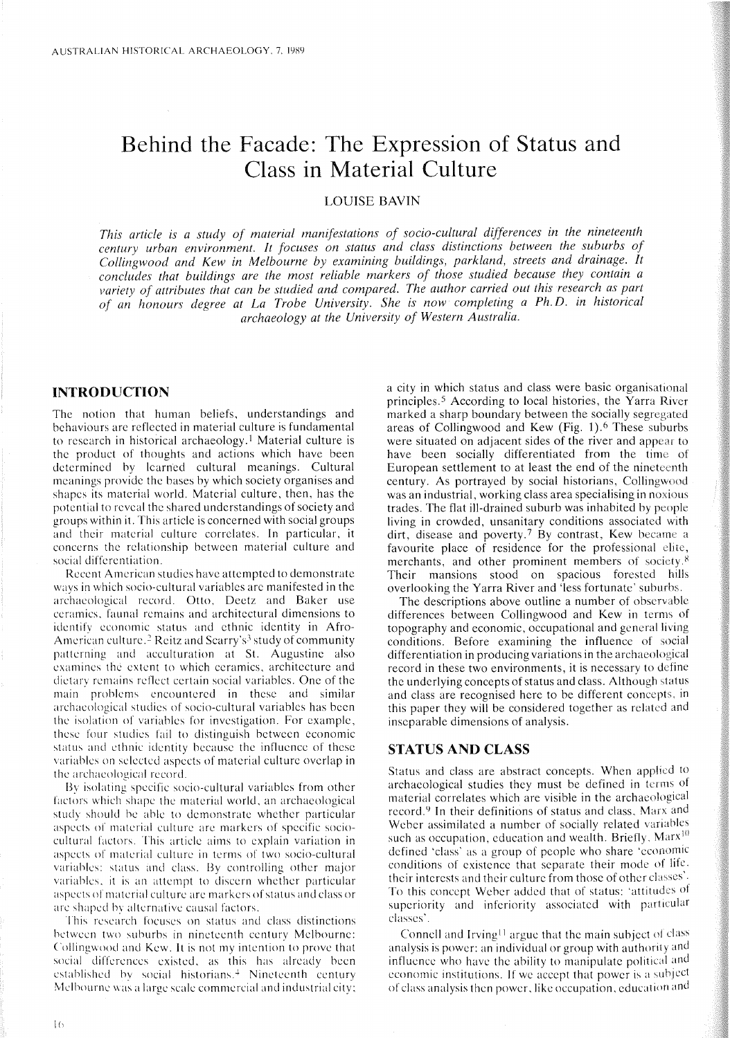# **Behind the Facade: The Expression of Status and Class in Material Culture**

# LOUISE BAVIN

*This article* is *a study of material manifestations of socio-cultural differences in the nineteenth century urban environment, It focuses on status and class distinctions between the suburbs of Collingwood and Kew in Melbourne by examining buildings, parkland, streets and drainage, It concludes that buildings are the most reliable markers of those studied because they contain a variety of attributes that can be studied and compared. The author carried out this research as part of an honours degree at La Trobe University. She* is *now completing a Ph,* D, *in historical archaeology at the University of Western Australia,*

## **INTRODUCTION**

The notion that human beliefs, understandings and behaviours are reflected in material culture is fundamental to research in historical archaeology.<sup>1</sup> Material culture is the product of thoughts and actions which have been determined by learned cultural meanings. Cultural meanings provide the bases by which society organises and shapes its material world. Material culture, then, has the potential to reveal the shared understandings of society and groups within it. This article is concerned with social groups and their material culture correlates. **In** particular, it concerns the relationship between material culture and social differentiation.

Recent American studies have attempted to demonstrate ways in which socio-cultural variables arc manifested in the archaeological record. Otto, Deetz and Baker use ceramics, faunal remains and architectural dimensions to identify economic status and ethnic identity in Afro-American culture.<sup>2</sup> Reitz and Scarry's<sup>3</sup> study of community patterning and acculturation at St. Augustine also examines the extent to which ceramics, architecture and dietary remains reflect certain social variables. One of the main problems encountered in these and similar archaeological studies of socio-cultural variables has been the isolation of variables for invcstigation. For example, these four studies fail to distinguish between economic status and ethnic identity because the influence of these variables on selected aspects of material culture overlap in the archaeological record.

By isolating specific socio-cultural variables from other factors which shape the material world, an archaeological study should be able to demonstrate whether particular aspects of material culture are markers of specific sociocultural factors. This article aims to explain variation in aspects of material culture in terms of two socio-cultural variables: status and class. By controlling other major variables, it is an attempt to discern whether particular aspects of material culture are markers of status and class or are shaped by alternative causal factors.

This research focuses on status and class distinctions between two suburbs in nineteenth century Melbourne: Collingwood and Kew. It is not my intention to prove that social differences existed, as this has already been established by social historians. $\pm$  Nineteenth century Melbourne was a large seale commercial and industrial city; a city in which status and class were basic organisational principles.<sup>5</sup> According to local histories, the Yarra River marked a sharp boundary between the socially segregated areas of Collingwood and Kew (Fig. 1), <sup>6</sup> These suburbs were situated on adjacent sides of the river and appear to have been socially differentiated from the time of European settlement to at least the end of the nineteenth century. As portrayed by social historians, Collingwood was an industrial, working class area specialising in noxious trades. The flat ill-drained suburb was inhabited by people living in crowded, unsanitary conditions associated with dirt, disease and poverty,7 By contrast, Kew became a favourite place of residence for the professional merchants, and other prominent members of society.<sup>8</sup> Their mansions stood on spacious forested hills overlooking the Yarra River and 'less fortunate' suburbs.

The descriptions above outline a number of observable differences between Collingwood and Kew in terms of topography and economic, occupational and general living eonditions, Before examining the influence of social differentiation in produeing variations in the archaeological record in these two environments, it is necessary to define the underlying coneepts of status and class. Although status and class are recognised here to be different concepts, in this paper they will be considered together as related and inseparable dimensions of analysis.

### **STATUS AND CLASS**

Status and class are abstract concepts. When applied to archaeological studies they must be defined in terms of material correlates which are visible in the archaeological record.<sup>9</sup> In their definitions of status and class, Marx and Weber assimilated a number of socially related variables such as occupation, education and wealth. Briefly,  $Marx$ <sup>10</sup> defined 'class' as a group of people who share 'economic conditions of cxistence that separate their mode of lifc, their interests and their culture from those of other classes'. To this concept Weber added that of status: 'attitudes of superiority and inferiority associated with particular classes'.

Connell and Irving<sup> $11$ </sup> argue that the main subject of class analysis is power: an individual or group with authority and influence who have the ability to manipulate political and economic institutions. If we accept that power is a subject of class analysis then power, like occupation, education and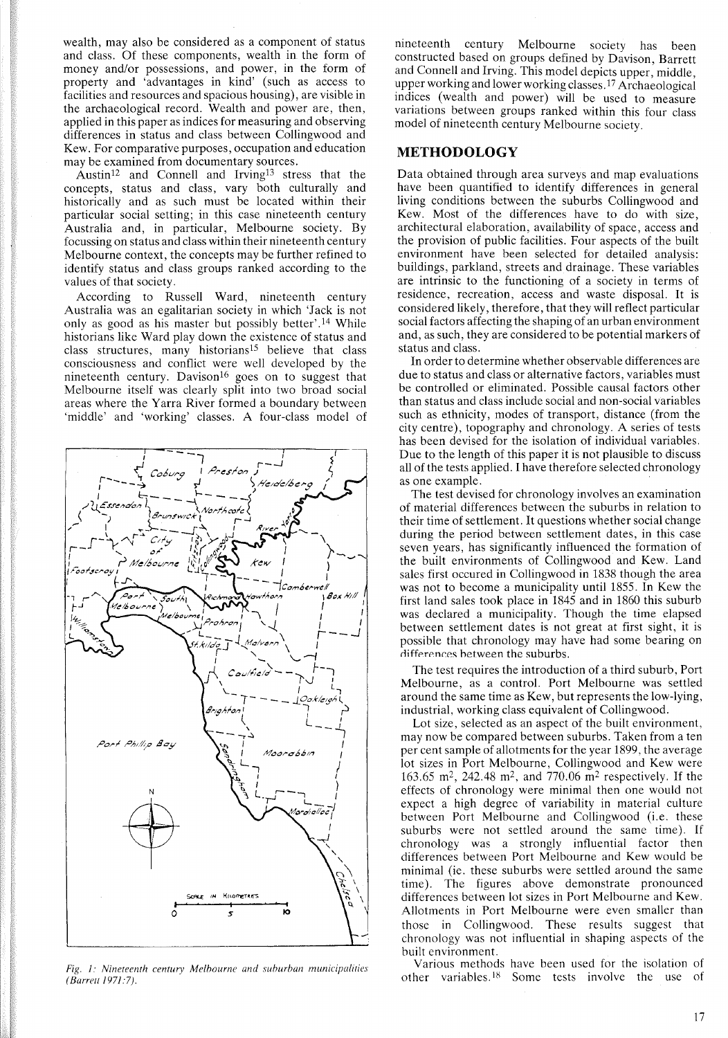wealth, may also be considered as a component of status and class. Of these components, wealth in the form of money and/or possessions, and power, in the form of property and 'advantages in kind' (such as access to facilities and resources and spacious housing), are visible in the archaeological record. Wealth and power are, then, applied in this paper as indices for measuring and observing differences in status and class between Collingwood and Kew. For comparative purposes, occupation and education may be examined from documentary sources.

Austin<sup>12</sup> and Connell and Irving<sup>13</sup> stress that the concepts, status and class, vary both culturally and historically and as such must be located within their particular social setting; in this case nineteenth century Australia and, in particular, Melbourne society. By focussing on status and class within their nineteenth century Melbourne context, the concepts may be further refined to identify status and class groups ranked according to the values of that society.

According to Russell Ward, nineteenth century Australia was an egalitarian society in which 'Jack is not only as good as his master but possibly better' .14 While historians like Ward play down the existence of status and class structures, many historians15 believe that class consciousness and conflict were well developed by the nineteenth century. Davison<sup>16</sup> goes on to suggest that Melbourne itself was clearly split into two broad social areas where the Yarra River formed a boundary between 'middle' and 'working' classes. A four-class model of



*Fig.* /: *Nineteenth century Melbourne and suburban municipalities (Barrell/97/:7).*

nineteenth century Melbourne society has been constructed based on groups defined by Davison, Barrett and Connell and Irving. This model depicts upper, middle, upper working and lower working classes.<sup>17</sup> Archaeological indices (wealth and power) will be used to measure variations between groups ranked within this four class model of nineteenth century Melbourne society.

### **METHODOLOGY**

Data obtained through area surveys and map evaluations have been quantified to identify differences in general living conditions between the suburbs Collingwood and Kew. Most of the differences have to do with size, architectural elaboration, availability of space, access and the provision of public facilities. Four aspects of the built environment have been selected for detailed analysis: buildings, parkland, streets and drainage. These variables are intrinsic to the functioning of a society in terms of residence, recreation, access and waste disposal. It is considered likely, therefore, that they will reflect particular social factors affecting the shaping of an urban environment and, as such, they are considered to be potential markers of status and class.

In order to determine whether observable differences are due to status and class or alternative factors, variables must be controlled or eliminated. Possible causal factors other than status and class include social and non-social variables such as ethnicity, modes of transport, distance (from the city centre), topography and chronology. A series of tests has been devised for the isolation of individual variables. Due to the length of this paper it is not plausible to discuss all of the tests applied. I have therefore selected chronology as one example.

The test devised for chronology involves an examination of material differences between the suburbs in relation to their time of settlement. It questions whether social change during the period between settlement dates, in this case seven years, has significantly influenced the formation of the built environments of Collingwood and Kew. Land sales first occured in Collingwood in 1838 though the area was not to become a municipality until 1855. In Kew the first land sales took place in 1845 and in 1860 this suburb was declared a municipality. Though the time elapsed between settlement dates is not great at first sight, it is possible that chronology may have had some bearing on differences between the suburbs.

The test requires the introduction of a third suburb, Port Melbourne, as a control. Port Melbourne was settled around the same time as Kew, but represents the low-lying, industrial, working class equivalent of Collingwood.

Lot size, selected as an aspect of the built environment, may now be compared between suburbs. Taken from a ten per cent sample of allotments for the year 1899, the average lot sizes in Port Melbourne, Collingwood and Kew were 163.65 m2, 242.48 m2, and 770.06 m<sup>2</sup> respectively. If the effects of chronology were minimal then one would not expect a high degree of variability in material culture between Port Melbourne and Collingwood (i.e. these suburbs were not settled around the same time). If chronology was a strongly influential factor then differences between Port Melbourne and Kew would be minimal (ie. these suburbs were settled around the same time). The figures above demonstrate pronounced differences between lot sizes in Port Melbourne and Kew. Allotments in Port Melbourne were even smaller than those in Collingwood. These results suggest that chronology was not influential in shaping aspects of the built environment.

Various methods have been used for the isolation of other variables.<sup>18</sup> Some tests involve the use of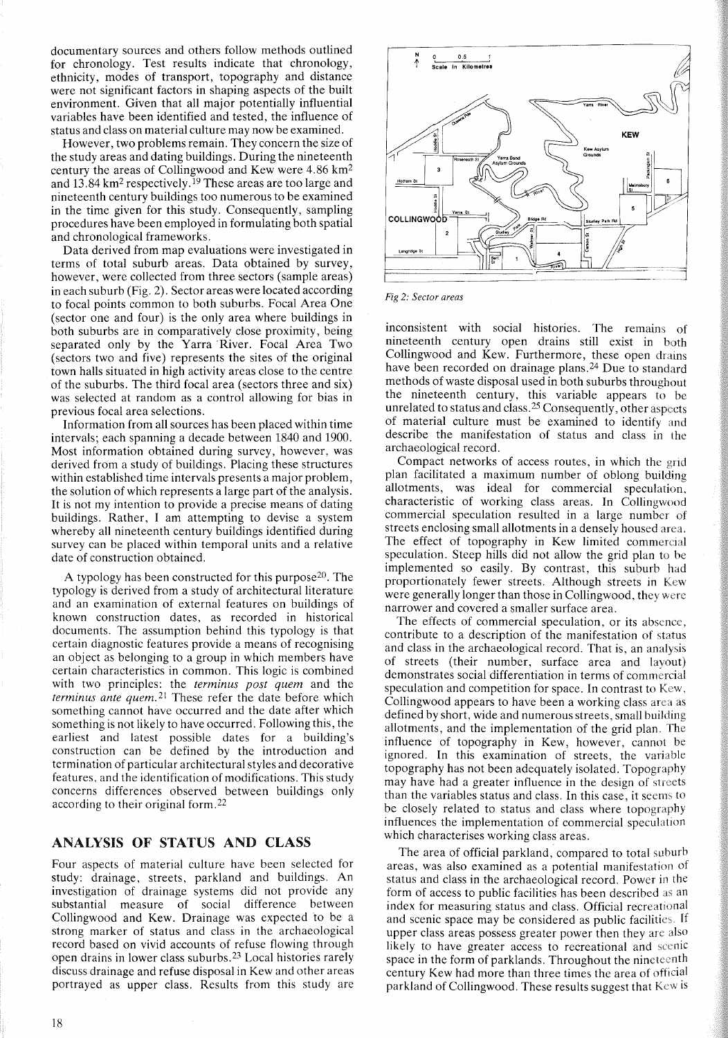documentary sources and others follow methods outlined for chronology. Test results indicate that chronology, ethnicity, modes of transport, topography and distance were not significant factors in shaping aspects of the built environment. Given that all major potentially influential variables have been identified and tested, the influence of status and class on material culture may now be examined.

However, two problems remain. They concern the size of the study areas and dating buildings. During the nineteenth century the areas of Collingwood and Kew were 4.86 km<sup>2</sup> and 13.84 km<sup>2</sup> respectively.<sup>19</sup> These areas are too large and nineteenth century buildings too numerous to be examined in the time given for this study. Consequently, sampling procedures have been employed in formulating both spatial and chronological frameworks.

Data derived from map evaluations were investigated in terms of total suburb areas. Data obtained by survey, however, were collected from three sectors (sample areas) in each suburb (Fig. 2). Sector areas were located according to focal points common to both suburbs. Focal Area One (sector one and four) is the only area where buildings in both suburbs are in comparatively close proximity, being separated only by the Yarra 'River. Focal Area Two (sectors two and five) represents the sites of the original town halls situated in high activity areas close to the centre of the suburbs. The third focal area (sectors three and six) was selected at random as a control allowing for bias in previous focal area selections.

Information from all sources has been placed within time intervals; each spanning a decade between 1840 and 1900. Most information obtained during survey, however, was derived from a study of buildings. Placing these structures within established time intervals presents a major problem, the solution of which represents a large part of the analysis. It is not my intention to provide a precise means of dating buildings. Rather, I am attempting to devise a system whereby all nineteenth century buildings identified during survey can be placed within temporal units and a relative date of construction obtained.

A typology has been constructed for this purpose<sup>20</sup>. The typology is derived from a study of architectural literature and an examination of external features on buildings of known construction dates, as recorded in historical documents. The assumption behind this typology is that certain diagnostic features provide a means of recognising an object as belonging to a group in which members have certain characteristics in common. This logic is combined with two principles: the *terminus post quem* and the *terminus ante quem. 2*! These refer the date before which something cannot have occurred and the date after which something is not likely to have occurred. Following this, the earliest and latest possible dates for a building's construction can be defined by the introduction and termination of particular architectural styles and decorative features, and the identification of modifications. This study concerns differences observed between buildings only according to their original form. <sup>22</sup>

# ANALYSIS OF STATUS AND CLASS

Four aspects of material culture have been selected for study: drainage, streets, parkland and buildings. An investigation of drainage systems did not provide any substantial measure of social difference between Collingwood and Kew. Drainage was expected to be a strong marker of status and class in the archaeological record based on vivid accounts of refuse flowing through open drains in lower class suburbs. <sup>23</sup> Local histories rarely discuss drainage and refuse disposal in Kew and other areas portrayed as upper class. Results from this study are



*Fig* 2: *Sector areas*

inconsistent with social histories. The remains of nineteenth century open drains still exist in both Collingwood and Kew. Furthermore, these open drains have been recorded on drainage plans.<sup>24</sup> Due to standard methods of waste disposal used in both suburbs throughout the nineteenth century, this variable appears to be unrelated to status and class. <sup>25</sup> Consequently, other aspects of material culture must be examined to identify and describe the manifestation of status and class in the archaeological record.

Compact networks of access routes, in which the grid plan facilitated a maximum number of oblong building allotments, was ideal for commercial speculation, characteristic of working class areas. In Collingwood commercial speculation resulted in a large number of streets enclosing small allotments in a densely housed area. The effect of topography in Kew limited commercial speculation. Steep hills did not allow the grid plan to be implemented so easily. By contrast, this suburb had proportionately fewer streets. Although streets in Kew were generally longer than those in Collingwood, they were narrower and covered a smaller surface area.

The effects of commercial speculation, or its absence, contribute to a description of the manifestation of status and class in the archaeological record. That is, an analysis of streets (their number, surface area and layout) demonstrates social differentiation in terms of commercial speculation and competition for space. In contrast to Kew, Collingwood appears to have been a working class area as defined by short, wide and numerous streets, small building allotments, and the implementation of the grid plan. The influence of topography in Kew, however, cannot be ignored. In this examination of streets, the variable topography has not been adequately isolated. Topography may have had a greater influence in the design of streets than the variables status and class. In this case, it seems to be closely related to status and class where topography influences the implementation of commercial speculation which characterises working class areas.

The area of official parkland, compared to total suburb areas, was also examined as a potential manifestation of status and class in the archaeological record. Power in the form of access to public facilities has been described as an index for measuring status and class. Official recreational and scenic space may be considered as public facilities. If upper class areas possess greater power then they are also likely to have greater access to recreational and scenic space in the form of parklands. Throughout the nineteenth century Kew had more than three times the area of official parkland of Collingwood. These results suggest that Kcw is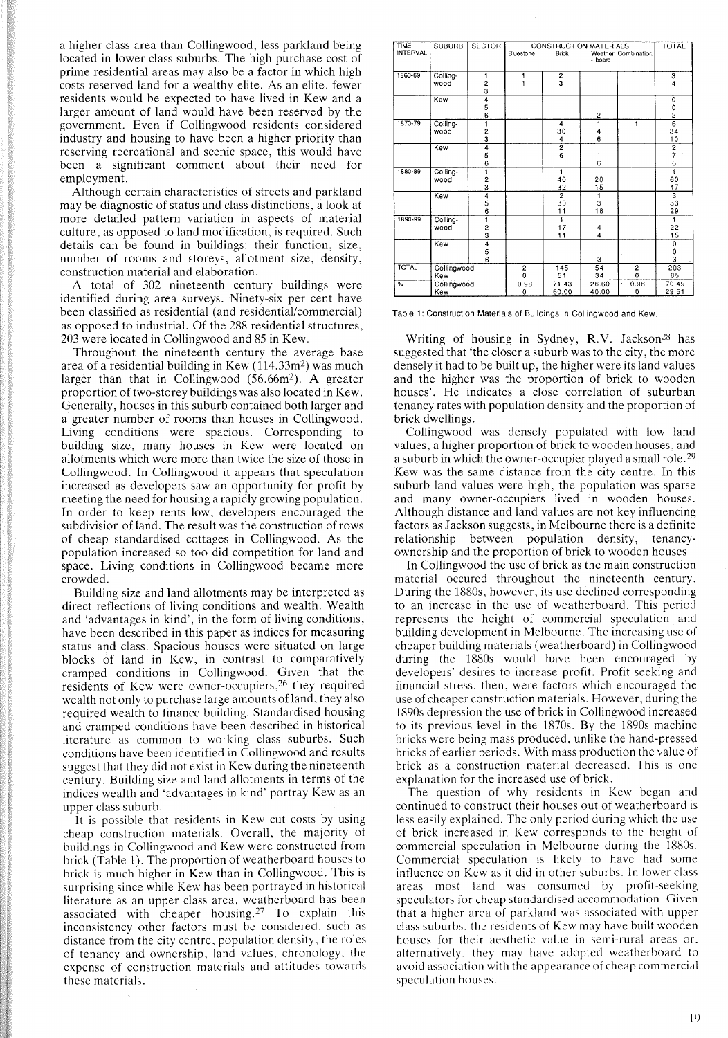a higher class area than Collingwood, less parkland being located in lower class suburbs. The high purchase cost of prime residential areas may also be a factor in which high costs reserved land for a wealthy elite. As an elite, fewer residents would be expected to have lived in Kew and a larger amount of land would have been reserved by the government. Even if Collingwood residents considered industry and housing to have been a higher priority than reserving recreational and scenic space, this would have been a significant comment about their need for employment.

Although certain characteristics of streets and parkland may be diagnostic of status and class distinctions, alook at more detailed pattern variation in aspects of material culture, as opposed to land modification, is required. Such details can be found in buildings: their function, size, number of rooms and storeys, allotment size, density, construction material and elaboration.

A total of 302 nineteenth century buildings were identified during area surveys. Ninety-six per cent have been classified as residential (and residential/commercial) as opposed to industrial. Of the 288 residential structures, 203 were located in Collingwood and 85 in Kew.

Throughout the nineteenth century the average base area of a residential building in Kew  $(114.33m<sup>2</sup>)$  was much larger than that in Collingwood (56.66m2). A greater proportion of two-storey buildings was also located in Kew. Generally, houses in this suburb contained both larger and a greater number of rooms than houses in Collingwood. Living conditions were spacious. Corresponding to building size, many houses in Kew were located on allotments which were more than twice the size of those in Collingwood. In Collingwood it appears that speculation increased as developers saw an opportunity for profit by meeting the need for housing a rapidly growing population. In order to keep rents low, developers encouraged the subdivision of land. The result was the construction of rows of cheap standardised cottages in Collingwood. As the population increased so too did competition for land and space. Living conditions in Collingwood became more crowded.

Building size and land allotments may be interpreted as direct reflections of living conditions and wealth. Wealth and 'advantages in kind', in the form of living conditions, have been described in this paper as indices for measuring status and class. Spacious houses were situated on large blocks of land in Kew, in contrast to comparatively cramped conditions in Collingwood. Given that the residents of Kew were owner-occupiers,26 they required wealth not only to purchase large amounts of land, they also required wealth to finance building. Standardised housing and cramped conditions have been described in historical literature as common to working class suburbs. Such conditions have been identified in Collingwood and results suggest that they did not exist in Kew during the nineteenth century. Building size and land allotments in terms of the indices wealth and 'advantages in kind' portray Kew as an upper class suburb.

It is possible that residents in Kew cut costs by using cheap construction materials. Overall, the majority of buildings in Collingwood and Kew were constructed from brick (Table 1). The proportion of weatherboard houses to brick is much higher in Kew than in Collingwood. This is surprising since while Kew has been portrayed in historical literature as an upper class area, weatherboard has been associated with cheaper housing. <sup>27</sup> To explain this inconsistency other factors must be considered, such as distance from the city centre, population density, the roles of tenancy and ownership, land values. chronology, the expense of construction materials and attitudes towards these materials.

| TIME<br><b>INTERVAL</b> | <b>SUBURB</b>      | <b>SECTOR</b>                  | <b>CONSTRUCTION MATERIALS</b><br><b>Brick</b><br>Weather Combination. |                |                  |                     | TOTAL                        |
|-------------------------|--------------------|--------------------------------|-----------------------------------------------------------------------|----------------|------------------|---------------------|------------------------------|
|                         |                    |                                | Bluestone                                                             |                |                  |                     |                              |
| 1860-69                 | Colling-           | 1                              | 1                                                                     | $\frac{2}{3}$  |                  |                     | $\overline{\overline{3}}$    |
|                         | wood               | 2<br>3                         |                                                                       |                |                  |                     | $\overline{\mathbf{4}}$      |
|                         | Kew                | 4                              |                                                                       |                |                  |                     | 0                            |
|                         |                    | $\frac{5}{6}$                  |                                                                       |                | 2                |                     | 0<br>$\overline{\mathbf{c}}$ |
| 1870-79                 | Colling-           |                                |                                                                       | 4              | 1                | 1                   | $\overline{6}$               |
|                         | wood               |                                |                                                                       | 30             | 4                |                     | 34                           |
|                         |                    | <u>ვ</u>                       |                                                                       | 4              | 6                |                     | 10                           |
|                         | Kew                | 4                              |                                                                       | $\frac{2}{6}$  |                  |                     | $\overline{\mathbf{2}}$      |
|                         |                    | 5                              |                                                                       |                | 1                |                     | $\overline{7}$               |
| 1880-89                 |                    | $\overline{6}$                 |                                                                       | 1              | 6                |                     | 6<br>1                       |
|                         | Colling-<br>wood   | 1                              |                                                                       | 40             | 20               |                     | 60                           |
|                         |                    | $\frac{2}{3}$                  |                                                                       | 32             | 15               |                     | 47                           |
|                         | Kew                |                                |                                                                       | $\overline{2}$ | 1                |                     | $\overline{\overline{3}}$    |
|                         |                    | $\frac{4}{5}$                  |                                                                       | 30             | 3                |                     | 33                           |
| 1890-99                 |                    |                                |                                                                       | 11<br>Ŧ        | 18               |                     | 29                           |
|                         | Colling-<br>wood   | 1                              |                                                                       | 17             | 4                | 1                   | 1<br>22                      |
|                         |                    | $\frac{2}{4}$<br>$\frac{3}{5}$ |                                                                       | 11             | $\boldsymbol{4}$ |                     | 15                           |
|                         | Kew                |                                |                                                                       |                |                  |                     | Ō                            |
|                         |                    |                                |                                                                       |                |                  |                     | 0                            |
|                         |                    |                                |                                                                       |                | 3                |                     | 3                            |
| <b>TOTAL</b>            | Collingwood<br>Kew |                                | 2<br>$\Omega$                                                         | 145<br>51      | 54<br>34         | $\overline{2}$<br>0 | 203<br>85                    |
| %                       | Collingwood        |                                | 0.98                                                                  | 71.43          | 26.60            | 0.98                | 70.49                        |
|                         | Kew                |                                | $\mathbf 0$                                                           | 60.00          | 40.00            | 0                   | 29.51                        |

Table 1: Construction Materials of Buildings in Collingwood and Kew.

Writing of housing in Sydney, R.V. Jackson<sup>28</sup> has suggested that 'the closer a suburb was to the city, the more densely it had to be built up, the higher were its land values and the higher was the proportion of brick to wooden houses'. He indicates a close correlation of suburban tenancy rates with population density and the proportion of brick dwellings.

Collingwood was densely populated with low land values, a higher proportion of brick to wooden houses, and a suburb in which the owner-occupier played a small role. <sup>29</sup> Kew was the same distance from the city centre. In this suburb land values were high, the population was sparse and many owner-occupiers lived in wooden houses. Although distance and land values are not key influencing factors as Jackson suggests, in Melbourne there is a definite relationship between population density, tenancyownership and the proportion of brick to wooden houses.

In Collingwood the use of brick as the main construction material occured throughout the nineteenth century. During the 1880s, however, its use declined corresponding to an increase in the use of weatherboard. This period represents the height of commercial speculation and building development in Melbourne. The increasing use of cheaper building materials (weatherboard) in Collingwood during the 1880s would have been encouraged by developers' desires to increase profit. Profit seeking and financial stress, then, were factors which encouraged the use of cheaper construction materials. However, during the 1890s depression the use of brick in Collingwood increased to its previous level in the 1870s. By the 1890s machine bricks were being mass produced, unlike the hand-pressed bricks of earlier periods. With mass production the value of brick as a construction material decreased. This is one explanation for the increased use of brick.

The question of why residents in Kew began and continued to construct their houses out of weatherboard is less easily explained. The only period during which the use of brick increased in Kew corresponds to the height of commercial speculation in Melbourne during the 1880s. Commercial speculation is likely to have had some influence on Kew as it did in other suburbs. In lower class areas most land was consumed by profit-seeking speculators for cheap standardised accommodation. Given that a higher area of parkland was associated with upper class suburbs, the residents of Kew may have built wooden houses for their aesthetic value in semi-rural areas or, alternatively, they may have adopted weatherboard to avoid association with the appearance of cheap commercial speculation houses.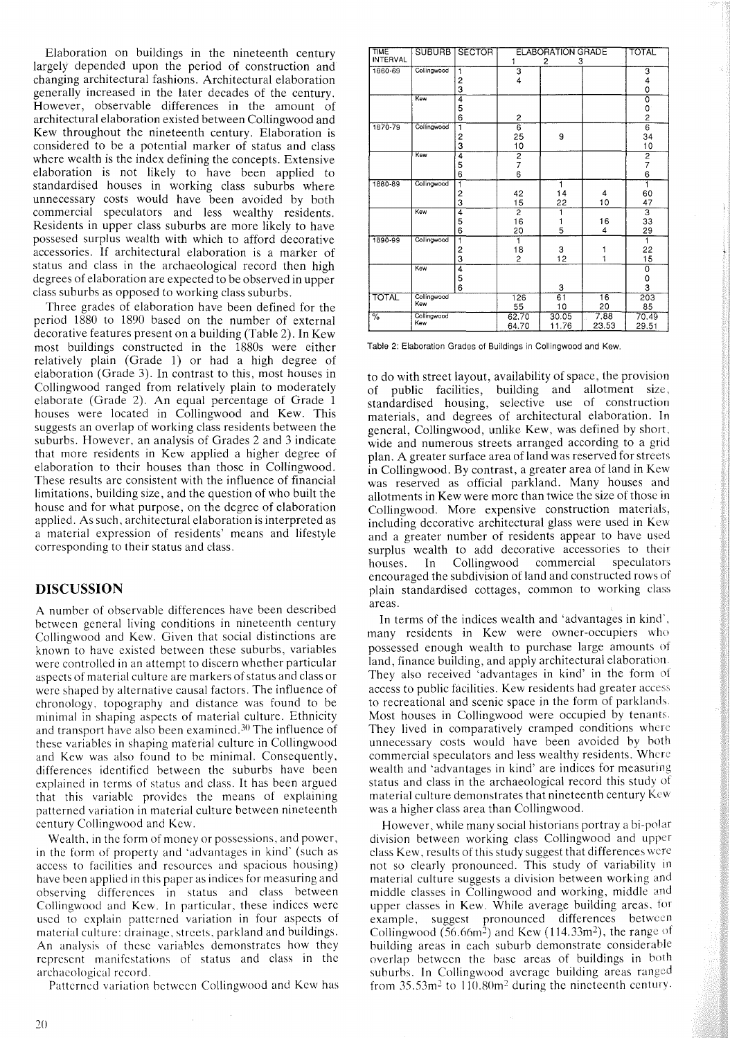Elaboration on buildings in the nineteenth century largely depended upon the period of construction and changing architectural fashions. Architectural elaboration generally increased in the later decades of the century. However, observable differences in the amount of architectural elaboration existed between Collingwood and Kew throughout the nineteenth century. Elaboration is considered to be a potential marker of status and class where wealth is the index defining the concepts. Extensive elaboration is not likely to have been applied to standardised houses in working class suburbs where unnecessary costs would have been avoided by both commercial speculators and less wealthy residents. Residents in upper class suburbs are more likely to have possesed surplus wealth with which to afford decorative accessories. If architectural elaboration is a marker of status and class in the archaeological record then high degrees of elaboration are expected to be observed in upper class suburbs as opposed to working class suburbs.

Three grades of elaboration have been defined for the period 1880 to 1890 based on the number of external decorative features present on a building (Table 2). In Kew most buildings constructed in the 1880s were either relatively plain (Grade 1) or had a high degree of elaboration (Grade 3). In contrast to this, most houses in Collingwood ranged from relatively plain to moderately elaborate (Grade 2). An equal percentage of Grade 1 houses were located in Collingwood and Kew. This suggests an overlap of working class residents between the suburbs. However, an analysis of Grades 2 and 3 indicate that more residents in Kew applied a higher degree of elaboration to their houses than those in Collingwood. These results are consistent with the influence of financial limitations, building size, and the question of who built the house and for what purpose, on the degree of elaboration applied. As such, architectural elaboration is interpreted as a material expression of residents' means and lifestyle corresponding to their status and class.

# **DISCUSSION**

A number of observable differences have been described between general living conditions in nineteenth century Collingwood and Kew. Given that social distinctions are known to have existed between these suburbs, variables were controlled in an attempt to discern whether particular aspects of material culture are markers of status and class or were shaped by alternative causal factors. The influence of chronology, topography and distance was found to be minimal in shaping aspects of material culture. Ethnicity and transport have also been examined. 3o The influence of these variables in shaping material culture in Collingwood and Kew was also found to be minimal. Consequently, differences identified between the suburbs have been explained in terms of status and class. It has been argued that this variable provides the means of explaining patterned variation in material culture between nineteenth century Collingwood and Kew.

Wealth, in the form of money or possessions, and power, in the form of property and 'advantages in kind' (such as access to facilities and resources and spacious housing) have been applied in this paper as indices for measuring and observing differences in status and class between Collingwood and Kew. In particular, these indices were used to explain patterned variation in four aspects of material culture: drainage, streets, parkland and buildings. An analysis of these variables demonstrates how they represent manifestations of status and class in the archaeological record.

Patterned variation between Collingwood and Kew has

| <b>TIME</b><br><b>INTERVAL</b> | <b>SUBURB</b>      | <b>SECTOR</b>            | <b>TOTAL</b>               |                       |               |                                   |
|--------------------------------|--------------------|--------------------------|----------------------------|-----------------------|---------------|-----------------------------------|
| 1860-69                        | Collingwood        | 1<br>$\overline{c}$<br>3 | 1<br>з<br>4                | 2<br>3                |               | з<br>4<br>0                       |
|                                | Kew                | 4<br>5<br>6              | $\overline{c}$             |                       |               | Ō<br>0<br>$\overline{c}$          |
| 1870-79                        | Collingwood        | 1<br>2<br>3              | $\overline{6}$<br>25<br>10 | 9                     |               | $\overline{6}$<br>34<br>10        |
|                                | Kew                | 4<br>5<br>6              | $\frac{2}{7}$<br>6         |                       |               | $\frac{2}{7}$<br>6                |
| 1880-89                        | Collingwood        | ï<br>2<br>3              | 42<br>15                   | 1<br>14<br>22         | 4<br>10       | 1<br>60<br>47                     |
|                                | Kew                | 4<br>5<br>6              | 2<br>16<br>20              | ī<br>1<br>5           | 16<br>4       | 3<br>33<br>29                     |
| 1890-99                        | Collingwood        | 1<br>2<br>3              | ٦<br>18<br>$\overline{2}$  | 3<br>12               | 1<br>1        | 1<br>22<br>15                     |
|                                | Kew                | 4<br>5<br>6              |                            | 3                     |               | $\overline{\mathbf{o}}$<br>0<br>3 |
| <b>TOTAL</b>                   | Collingwood<br>Kew |                          | 126<br>55                  | $\overline{61}$<br>10 | 16<br>20      | 203<br>85                         |
| $\frac{9}{6}$                  | Collingwood<br>Kew |                          | 62.70<br>64.70             | 30.05<br>11.76        | 7.88<br>23.53 | 70.49<br>29.51                    |

Table 2: Elaboration Grades of Buildings in Collingwood and Kew.

to do with street layout, availability of space, the provision of public facilities, building and allotment size. standardised housing, selective use of construction materials, and degrees of architectural elaboration. In general, Collingwood, unlike Kew, was defined by short, wide and numerous streets arranged according to a grid plan. A greater surface area of land was reserved for streets in Collingwood. By contrast, a greater area of land in Kew was reserved as official parkland. Many houses and allotments in Kew were more than twice the size of those in Collingwood. More expensive construction materials, including decorative architectural glass were used in Kew and a greater number of residents appear to have used surplus wealth to add decorative accessories to their houses. In Collingwood commercial speculators houses. In Collingwood commercial encouraged the subdivision of land and constructed rows of plain standardised cottages, common to working class areas.

In terms of the indices wealth and 'advantages in kind', many residents in Kew were owner-occupiers who possessed enough wealth to purchase large amounts oj land, finance building, and apply architectural elaboration They also received 'advantages in kind' in the form of access to public facilities. Kew residents had greater access to recreational and scenic space in the form of parklands Most houses in Collingwood were occupied by tenants They lived in comparatively cramped conditions where unnecessary costs would have been avoided by both commercial speculators and less wealthy residents. Where wealth and 'advantages in kind' are indices for measuring status and class in the archaeological record this study of material culture demonstrates that nineteenth century Kew was a higher class area than Collingwood.

However, while many social historians portray a bi-polar division between working class Collingwood and upper class Kew, results of this study suggest that differences were not so clearly pronounced. This study of variability in material culture suggests a division between working and middle classes in Collingwood and working, middle and upper classes in Kew. While average building areas, tor example, suggest pronounced differences between Collingwood (56.66 $m^2$ ) and Kew (114.33 $m^2$ ), the range of building areas in each suburb demonstrate considerable overlap between thc base areas of buildings in both suburbs. In Collingwood average building areas ranged from  $35.53m^2$  to  $110.80m^2$  during the nineteenth century.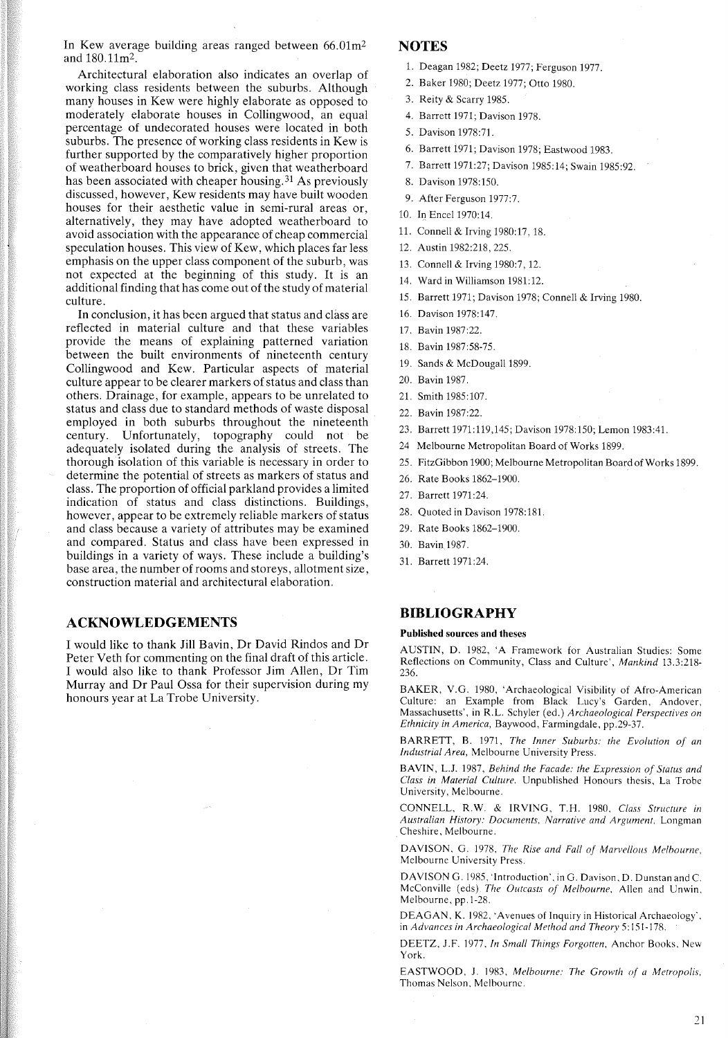In Kew average building areas ranged between  $66.01 \text{m}^2$ and I80.11m2.

Architectural elaboration also indicates an overlap of working class residents between the suburbs. Although many houses in Kew were highly elaborate as opposed to moderately elaborate houses in Collingwood, an equal percentage of undecorated houses were located in both suburbs. The presence of working class residents in Kew is further supported by the comparatively higher proportion of weatherboard houses to brick, given that weatherboard has been associated with cheaper housing.<sup>31</sup> As previously discussed, however, Kew residents may have built wooden houses for their aesthetic value in semi-rural areas or, alternatively, they may have adopted weatherboard to avoid association with the appearance of cheap commercial speculation houses. This view of Kew, which places far less emphasis on the upper class component of the suburb, was not expected at the beginning of this study. It is an additional finding that has come out of the study of material culture.

In conclusion, it has been argued that status and class are reflected in material culture and that these variables provide the means of explaining patterned variation between the built environments of nineteenth century Collingwood and Kew. Particular aspects of material culture appear to be clearer markers of status and class than others. Drainage, for example, appears to be unrelated to status and class due to standard methods of waste disposal employed in both suburbs throughout the nineteenth century. Unfortunately, topography could not be adequately isolated during the analysis of streets. The thorough isolation of this variable is necessary in order to determine the potential of streets as markers of status and class. The proportion of official parkland provides a limited indication of status and class distinctions. Buildings, however, appear to be extremely reliable markers of status and class because a variety of attributes may be examined and compared. Status and class have been expressed in buildings in a variety of ways. These include a building's base area, the number of rooms and storeys, allotment size, construction material and architectural elaboration.

#### **ACKNOWLEDGEMENTS**

I would like to thank Jill Bavin, Dr David Rindos and Dr Peter Veth for commenting on the final draft of this article. I would also like to thank Professor Jim Allen, Dr Tim Murray and Dr Paul Ossa for their supervision during my honours year at La Trobe University.

# **NOTES**

- 1. Deagan 1982; Deetz 1977; Ferguson 1977.
- 2. Baker 1980; Deetz 1977; Otto 1980.
- 3. Reity & Scarry 1985.
- 4. Barrett 1971; Davison 1978.
- 5. Davison 1978:71.
- 6. Barrett 1971; Davison 1978; Eastwood 1983.
- 7. Barrett 1971:27; Davison 1985:14; Swain 1985:92.
- 8. Davison 1978:150.
- 9. After Ferguson 1977:7.
- 10. In EnceI1970:14.
- 11. Connell & Irving 1980:17,18.
- 12. Austin 1982:218, 225.
- 13. Connell & Irving 1980:7,12.
- 14. Ward in Williamson 1981:12.
- 15. Barrett 1971; Davison 1978; Connell & Irving 1980.
- 16. Davison 1978:147.
- 17. Bavin 1987:22.
- 18. Bavin 1987:58-75.
- 19. Sands & McDougall 1899.
- 20. Bavin 1987.
- 21. Smith 1985:107.
- 22. Bavin 1987:22.
- 23. Barrett 1971:119,145; Davison 1978:150; Lemon 1983:41.
- 24 Melbourne Metropolitan Board of Works 1899.
- 25. FitzGibbon 1900; Melbourne Metropolitan Board of Works 1899.
- 26. Rate Books 1862-1900.
- 27. Barrett 1971:24.
- 28. Quoted in Davison 1978:181.
- 29. Rate Books 1862-1900.
- 30. Bavin 1987.
- 31. Barrett 1971:24.

#### **BIBLIOGRAPHY**

#### **Published** sources **and** theses

AUSTIN, D. 1982, 'A Framework for Australian Studies: Some Reflections on Community, Class and Culture', *Mankind 13.3:218-* 236.

BAKER, V.G. 1980, 'Archaeological Visibility of Afro-American Culture: an Example from Black Lucy's Garden, Andover, Massachusetts', in R.L. Schyler (ed.) *Archaeological Perspectives on Ethnicity in America,* Baywood, Farmingdale, pp.29-37.

BARRETT, B. 1971, *The Inner Suburbs: the Evolution of an Industrial Area,* Melbourne University Press.

BAVIN, L.J. 1987, *Behind the Facade: the Expression of Status and Class in Material Culture.* Unpublished Honours thesis, La Trobe University, Melbourne.

CONNELL, R.W. & IRVING, T.H. 1980, *Class Structure in Australian History: Documents, Narrative and Argument,* Longman Cheshire, Melbourne.

DAVISON, G. 1978, *The Rise and Fall of Marvellous Melbourne,* Melbourne University Press.

DAVISON G. 1985, 'Introduction', in G. Davison, D. Dunstan and C. McConville (eds) *The Owcasts of Melbourne,* Allen and Unwin, Melbourne, pp.1-28.

DEAGAN, K. 1982, 'Avenues of Inquiry in Historical Archaeology'. in *Advances in Archaeological Method and Theory* 5: 151-178.

DEETZ, J.F. 1977, *In Small Things Forgotten,* Anchor Books. New York.

EASTWOOD, J. 1983, *Melbourne: The Growth of a Metropolis,* Thomas Nelson, Melhourne.